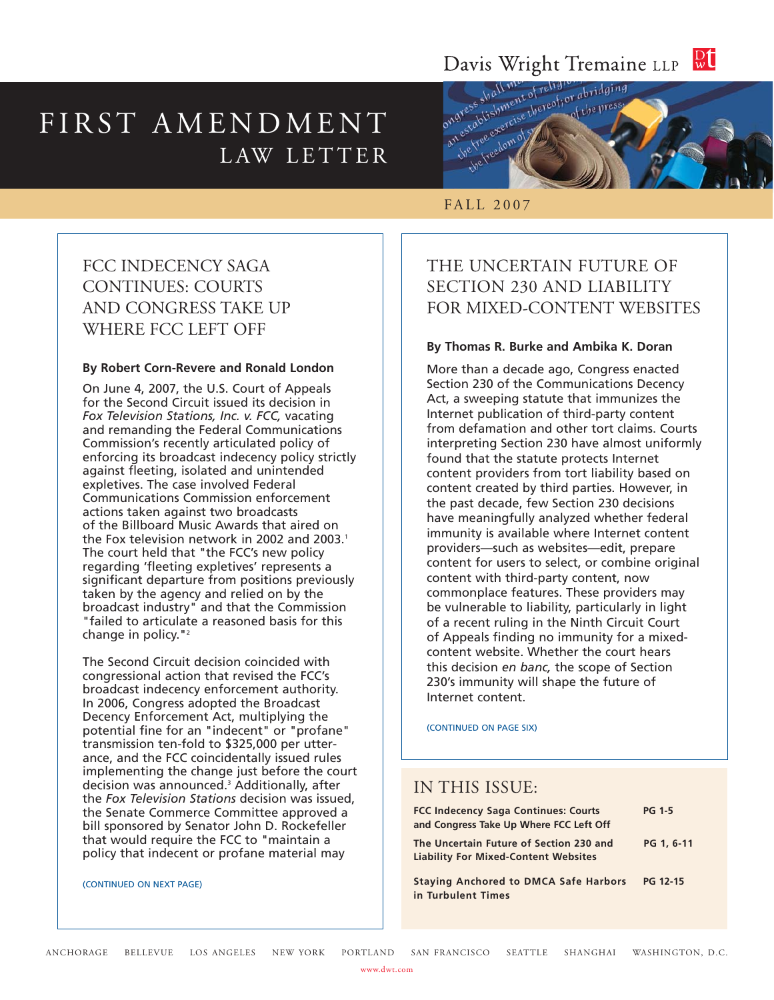# Davis Wright Tremaine LLP Rt

# FIRST AMENDMENT LAW LETTER



## FALL 2007

# FCC INDECENCY SAGA CONTINUES: COURTS AND CONGRESS TAKE UP WHERE FCC LEFT OFF

#### **By Robert Corn-Revere and Ronald London**

On June 4, 2007, the U.S. Court of Appeals for the Second Circuit issued its decision in *Fox Television Stations, Inc. v. FCC,* vacating and remanding the Federal Communications Commission's recently articulated policy of enforcing its broadcast indecency policy strictly against fleeting, isolated and unintended expletives. The case involved Federal Communications Commission enforcement actions taken against two broadcasts of the Billboard Music Awards that aired on the Fox television network in 2002 and 2003.<sup>1</sup> The court held that "the FCC's new policy regarding 'fleeting expletives' represents a significant departure from positions previously taken by the agency and relied on by the broadcast industry" and that the Commission "failed to articulate a reasoned basis for this change in policy."2

The Second Circuit decision coincided with congressional action that revised the FCC's broadcast indecency enforcement authority. In 2006, Congress adopted the Broadcast Decency Enforcement Act, multiplying the potential fine for an "indecent" or "profane" transmission ten-fold to \$325,000 per utterance, and the FCC coincidentally issued rules implementing the change just before the court decision was announced.3 Additionally, after the *Fox Television Stations* decision was issued, the Senate Commerce Committee approved a bill sponsored by Senator John D. Rockefeller that would require the FCC to "maintain a policy that indecent or profane material may

#### (CONTINUED ON NEXT PAGE)

# THE UNCERTAIN FUTURE OF SECTION 230 AND LIABILITY FOR MIXED-CONTENT WEBSITES

#### **By Thomas R. Burke and Ambika K. Doran**

More than a decade ago, Congress enacted Section 230 of the Communications Decency Act, a sweeping statute that immunizes the Internet publication of third-party content from defamation and other tort claims. Courts interpreting Section 230 have almost uniformly found that the statute protects Internet content providers from tort liability based on content created by third parties. However, in the past decade, few Section 230 decisions have meaningfully analyzed whether federal immunity is available where Internet content providers—such as websites—edit, prepare content for users to select, or combine original content with third-party content, now commonplace features. These providers may be vulnerable to liability, particularly in light of a recent ruling in the Ninth Circuit Court of Appeals finding no immunity for a mixedcontent website. Whether the court hears this decision *en banc,* the scope of Section 230's immunity will shape the future of Internet content.

(CONTINUED ON PAGE SIX)

## IN THIS ISSUE:

| <b>FCC Indecency Saga Continues: Courts</b>                                            | <b>PG 1-5</b>   |
|----------------------------------------------------------------------------------------|-----------------|
| and Congress Take Up Where FCC Left Off                                                |                 |
| The Uncertain Future of Section 230 and<br><b>Liability For Mixed-Content Websites</b> | PG 1, 6-11      |
| <b>Staying Anchored to DMCA Safe Harbors</b><br>in Turbulent Times                     | <b>PG 12-15</b> |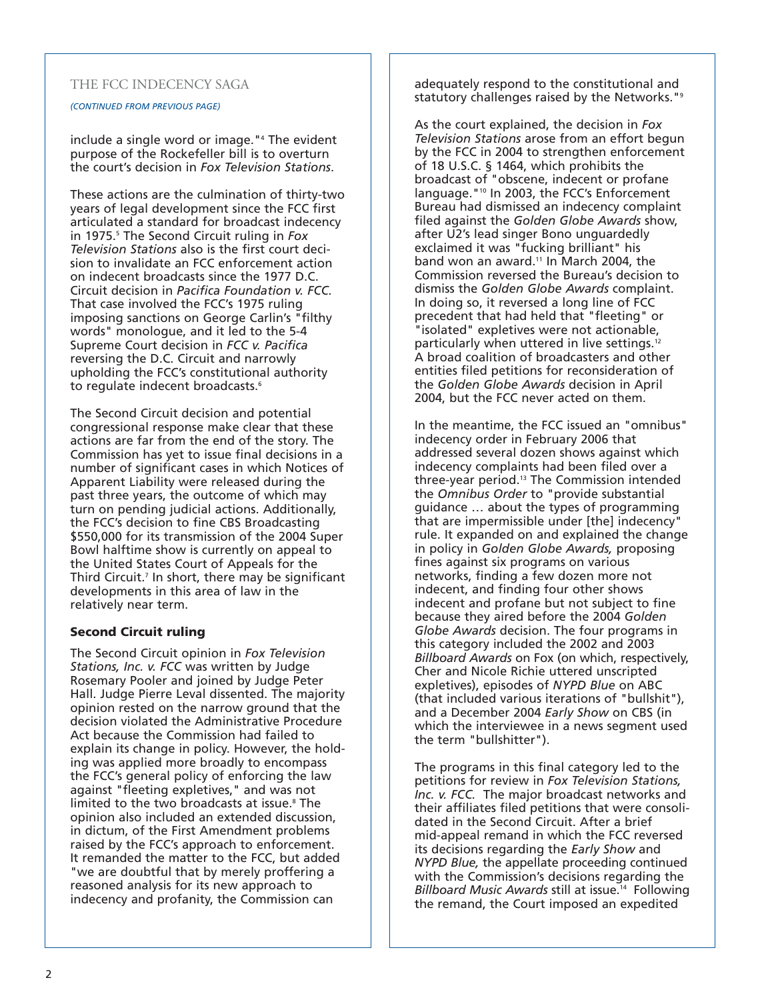#### THE FCC INDECENCY SAGA

#### *(CONTINUED FROM PREVIOUS PAGE)*

include a single word or image."4 The evident purpose of the Rockefeller bill is to overturn the court's decision in *Fox Television Stations*.

These actions are the culmination of thirty-two years of legal development since the FCC first articulated a standard for broadcast indecency in 1975.5 The Second Circuit ruling in *Fox Television Stations* also is the first court decision to invalidate an FCC enforcement action on indecent broadcasts since the 1977 D.C. Circuit decision in *Pacifica Foundation v. FCC.* That case involved the FCC's 1975 ruling imposing sanctions on George Carlin's "filthy words" monologue, and it led to the 5-4 Supreme Court decision in *FCC v. Pacifica* reversing the D.C. Circuit and narrowly upholding the FCC's constitutional authority to regulate indecent broadcasts.<sup>6</sup>

The Second Circuit decision and potential congressional response make clear that these actions are far from the end of the story. The Commission has yet to issue final decisions in a number of significant cases in which Notices of Apparent Liability were released during the past three years, the outcome of which may turn on pending judicial actions. Additionally, the FCC's decision to fine CBS Broadcasting \$550,000 for its transmission of the 2004 Super Bowl halftime show is currently on appeal to the United States Court of Appeals for the Third Circuit.<sup>7</sup> In short, there may be significant developments in this area of law in the relatively near term.

#### **Second Circuit ruling**

The Second Circuit opinion in *Fox Television Stations, Inc. v. FCC* was written by Judge Rosemary Pooler and joined by Judge Peter Hall. Judge Pierre Leval dissented. The majority opinion rested on the narrow ground that the decision violated the Administrative Procedure Act because the Commission had failed to explain its change in policy. However, the holding was applied more broadly to encompass the FCC's general policy of enforcing the law against "fleeting expletives," and was not limited to the two broadcasts at issue.<sup>8</sup> The opinion also included an extended discussion, in dictum, of the First Amendment problems raised by the FCC's approach to enforcement. It remanded the matter to the FCC, but added "we are doubtful that by merely proffering a reasoned analysis for its new approach to indecency and profanity, the Commission can

adequately respond to the constitutional and statutory challenges raised by the Networks."<sup>9</sup>

As the court explained, the decision in *Fox Television Stations* arose from an effort begun by the FCC in 2004 to strengthen enforcement of 18 U.S.C. § 1464, which prohibits the broadcast of "obscene, indecent or profane language."10 In 2003, the FCC's Enforcement Bureau had dismissed an indecency complaint filed against the *Golden Globe Awards* show, after U2's lead singer Bono unguardedly exclaimed it was "fucking brilliant" his band won an award.<sup>11</sup> In March 2004, the Commission reversed the Bureau's decision to dismiss the *Golden Globe Awards* complaint. In doing so, it reversed a long line of FCC precedent that had held that "fleeting" or "isolated" expletives were not actionable, particularly when uttered in live settings.12 A broad coalition of broadcasters and other entities filed petitions for reconsideration of the *Golden Globe Awards* decision in April 2004, but the FCC never acted on them.

In the meantime, the FCC issued an "omnibus" indecency order in February 2006 that addressed several dozen shows against which indecency complaints had been filed over a three-year period.13 The Commission intended the *Omnibus Order* to "provide substantial guidance … about the types of programming that are impermissible under [the] indecency" rule. It expanded on and explained the change in policy in *Golden Globe Awards,* proposing fines against six programs on various networks, finding a few dozen more not indecent, and finding four other shows indecent and profane but not subject to fine because they aired before the 2004 *Golden Globe Awards* decision. The four programs in this category included the 2002 and 2003 *Billboard Awards* on Fox (on which, respectively, Cher and Nicole Richie uttered unscripted expletives), episodes of *NYPD Blue* on ABC (that included various iterations of "bullshit"), and a December 2004 *Early Show* on CBS (in which the interviewee in a news segment used the term "bullshitter").

The programs in this final category led to the petitions for review in *Fox Television Stations, Inc. v. FCC.* The major broadcast networks and their affiliates filed petitions that were consolidated in the Second Circuit. After a brief mid-appeal remand in which the FCC reversed its decisions regarding the *Early Show* and *NYPD Blue,* the appellate proceeding continued with the Commission's decisions regarding the *Billboard Music Awards* still at issue.14 Following the remand, the Court imposed an expedited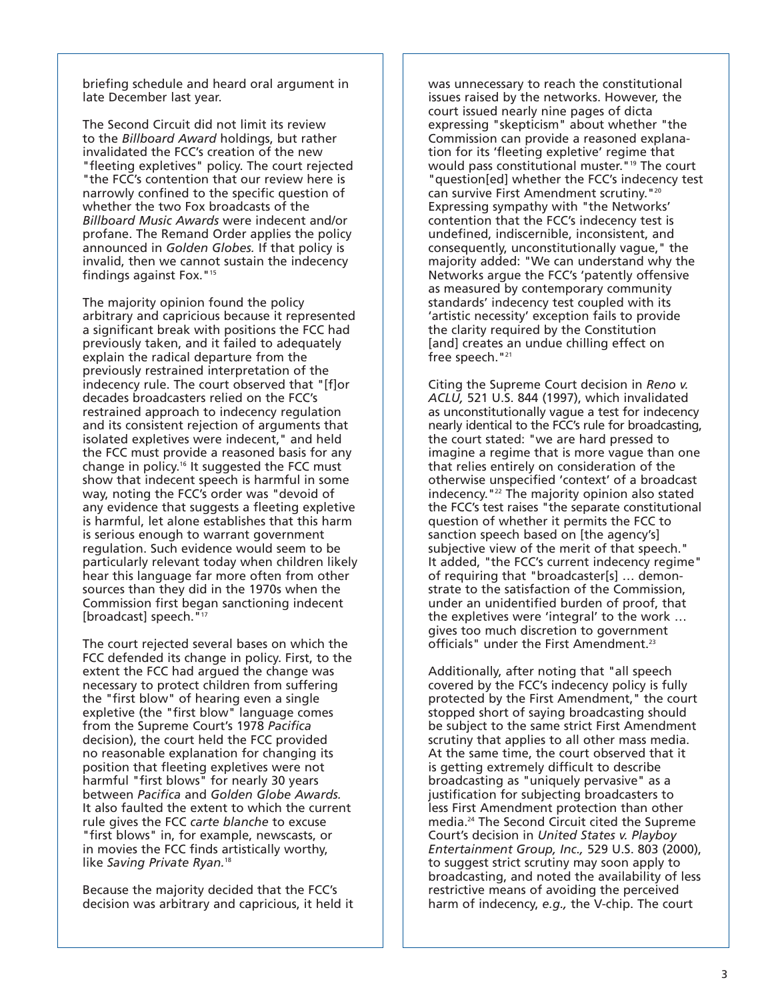briefing schedule and heard oral argument in late December last year.

The Second Circuit did not limit its review to the *Billboard Award* holdings, but rather invalidated the FCC's creation of the new "fleeting expletives" policy. The court rejected "the FCC's contention that our review here is narrowly confined to the specific question of whether the two Fox broadcasts of the *Billboard Music Awards* were indecent and/or profane. The Remand Order applies the policy announced in *Golden Globes.* If that policy is invalid, then we cannot sustain the indecency findings against Fox."15

The majority opinion found the policy arbitrary and capricious because it represented a significant break with positions the FCC had previously taken, and it failed to adequately explain the radical departure from the previously restrained interpretation of the indecency rule. The court observed that "[f]or decades broadcasters relied on the FCC's restrained approach to indecency regulation and its consistent rejection of arguments that isolated expletives were indecent," and held the FCC must provide a reasoned basis for any change in policy.16 It suggested the FCC must show that indecent speech is harmful in some way, noting the FCC's order was "devoid of any evidence that suggests a fleeting expletive is harmful, let alone establishes that this harm is serious enough to warrant government regulation. Such evidence would seem to be particularly relevant today when children likely hear this language far more often from other sources than they did in the 1970s when the Commission first began sanctioning indecent [broadcast] speech. "<sup>17</sup>

The court rejected several bases on which the FCC defended its change in policy. First, to the extent the FCC had argued the change was necessary to protect children from suffering the "first blow" of hearing even a single expletive (the "first blow" language comes from the Supreme Court's 1978 *Pacifica* decision), the court held the FCC provided no reasonable explanation for changing its position that fleeting expletives were not harmful "first blows" for nearly 30 years between *Pacifica* and *Golden Globe Awards.* It also faulted the extent to which the current rule gives the FCC *carte blanche* to excuse "first blows" in, for example, newscasts, or in movies the FCC finds artistically worthy, like *Saving Private Ryan.*<sup>18</sup>

Because the majority decided that the FCC's decision was arbitrary and capricious, it held it was unnecessary to reach the constitutional issues raised by the networks. However, the court issued nearly nine pages of dicta expressing "skepticism" about whether "the Commission can provide a reasoned explanation for its 'fleeting expletive' regime that would pass constitutional muster."19 The court "question[ed] whether the FCC's indecency test can survive First Amendment scrutiny."20 Expressing sympathy with "the Networks' contention that the FCC's indecency test is undefined, indiscernible, inconsistent, and consequently, unconstitutionally vague," the majority added: "We can understand why the Networks argue the FCC's 'patently offensive as measured by contemporary community standards' indecency test coupled with its 'artistic necessity' exception fails to provide the clarity required by the Constitution [and] creates an undue chilling effect on free speech. "<sup>21</sup>

Citing the Supreme Court decision in *Reno v. ACLU,* 521 U.S. 844 (1997), which invalidated as unconstitutionally vague a test for indecency nearly identical to the FCC's rule for broadcasting, the court stated: "we are hard pressed to imagine a regime that is more vague than one that relies entirely on consideration of the otherwise unspecified 'context' of a broadcast indecency."22 The majority opinion also stated the FCC's test raises "the separate constitutional question of whether it permits the FCC to sanction speech based on [the agency's] subjective view of the merit of that speech." It added, "the FCC's current indecency regime" of requiring that "broadcaster[s] … demonstrate to the satisfaction of the Commission, under an unidentified burden of proof, that the expletives were 'integral' to the work … gives too much discretion to government officials" under the First Amendment.23

Additionally, after noting that "all speech covered by the FCC's indecency policy is fully protected by the First Amendment," the court stopped short of saying broadcasting should be subject to the same strict First Amendment scrutiny that applies to all other mass media. At the same time, the court observed that it is getting extremely difficult to describe broadcasting as "uniquely pervasive" as a justification for subjecting broadcasters to less First Amendment protection than other media.24 The Second Circuit cited the Supreme Court's decision in *United States v. Playboy Entertainment Group, Inc.,* 529 U.S. 803 (2000), to suggest strict scrutiny may soon apply to broadcasting, and noted the availability of less restrictive means of avoiding the perceived harm of indecency, *e.g.,* the V-chip. The court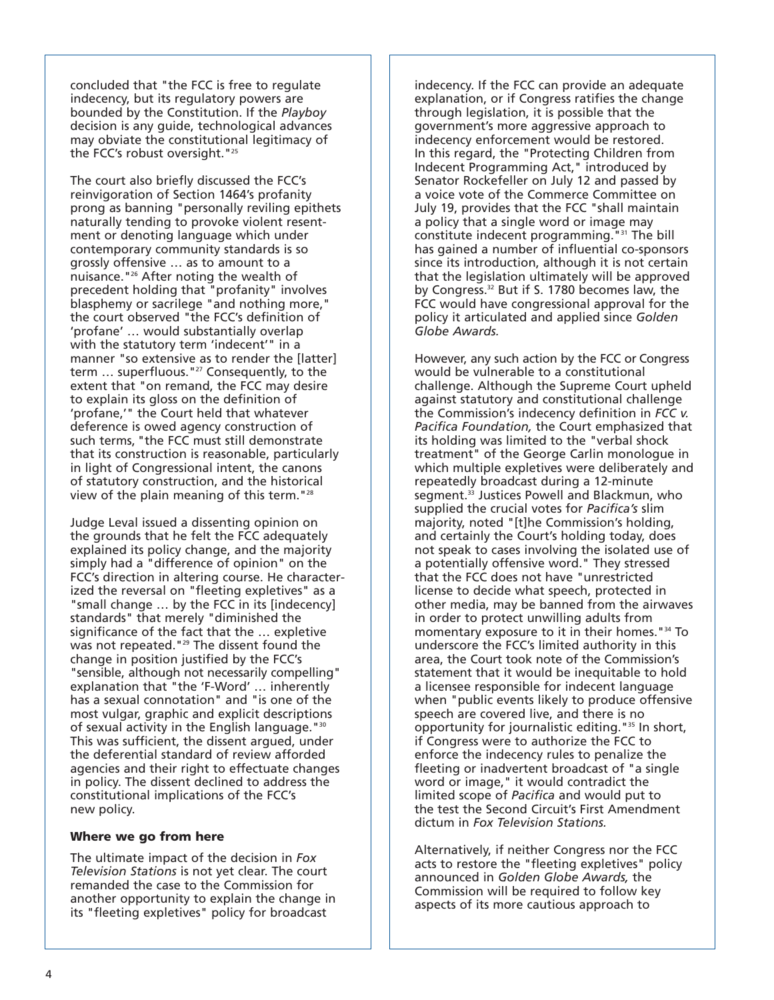concluded that "the FCC is free to regulate indecency, but its regulatory powers are bounded by the Constitution. If the *Playboy* decision is any guide, technological advances may obviate the constitutional legitimacy of the FCC's robust oversight."<sup>25</sup>

The court also briefly discussed the FCC's reinvigoration of Section 1464's profanity prong as banning "personally reviling epithets naturally tending to provoke violent resentment or denoting language which under contemporary community standards is so grossly offensive … as to amount to a nuisance."26 After noting the wealth of precedent holding that "profanity" involves blasphemy or sacrilege "and nothing more," the court observed "the FCC's definition of 'profane' … would substantially overlap with the statutory term 'indecent'" in a manner "so extensive as to render the [latter] term ... superfluous."<sup>27</sup> Consequently, to the extent that "on remand, the FCC may desire to explain its gloss on the definition of 'profane,'" the Court held that whatever deference is owed agency construction of such terms, "the FCC must still demonstrate that its construction is reasonable, particularly in light of Congressional intent, the canons of statutory construction, and the historical view of the plain meaning of this term."28

Judge Leval issued a dissenting opinion on the grounds that he felt the FCC adequately explained its policy change, and the majority simply had a "difference of opinion" on the FCC's direction in altering course. He characterized the reversal on "fleeting expletives" as a "small change … by the FCC in its [indecency] standards" that merely "diminished the significance of the fact that the … expletive was not repeated."<sup>29</sup> The dissent found the change in position justified by the FCC's "sensible, although not necessarily compelling" explanation that "the 'F-Word' … inherently has a sexual connotation" and "is one of the most vulgar, graphic and explicit descriptions of sexual activity in the English language."30 This was sufficient, the dissent argued, under the deferential standard of review afforded agencies and their right to effectuate changes in policy. The dissent declined to address the constitutional implications of the FCC's new policy.

#### **Where we go from here**

The ultimate impact of the decision in *Fox Television Stations* is not yet clear. The court remanded the case to the Commission for another opportunity to explain the change in its "fleeting expletives" policy for broadcast

indecency. If the FCC can provide an adequate explanation, or if Congress ratifies the change through legislation, it is possible that the government's more aggressive approach to indecency enforcement would be restored. In this regard, the "Protecting Children from Indecent Programming Act," introduced by Senator Rockefeller on July 12 and passed by a voice vote of the Commerce Committee on July 19, provides that the FCC "shall maintain a policy that a single word or image may constitute indecent programming."31 The bill has gained a number of influential co-sponsors since its introduction, although it is not certain that the legislation ultimately will be approved by Congress.<sup>32</sup> But if S. 1780 becomes law, the FCC would have congressional approval for the policy it articulated and applied since *Golden Globe Awards.*

However, any such action by the FCC or Congress would be vulnerable to a constitutional challenge. Although the Supreme Court upheld against statutory and constitutional challenge the Commission's indecency definition in *FCC v. Pacifica Foundation,* the Court emphasized that its holding was limited to the "verbal shock treatment" of the George Carlin monologue in which multiple expletives were deliberately and repeatedly broadcast during a 12-minute segment.<sup>33</sup> Justices Powell and Blackmun, who supplied the crucial votes for *Pacifica's* slim majority, noted "[t]he Commission's holding, and certainly the Court's holding today, does not speak to cases involving the isolated use of a potentially offensive word." They stressed that the FCC does not have "unrestricted license to decide what speech, protected in other media, may be banned from the airwaves in order to protect unwilling adults from momentary exposure to it in their homes."34 To underscore the FCC's limited authority in this area, the Court took note of the Commission's statement that it would be inequitable to hold a licensee responsible for indecent language when "public events likely to produce offensive speech are covered live, and there is no opportunity for journalistic editing."35 In short, if Congress were to authorize the FCC to enforce the indecency rules to penalize the fleeting or inadvertent broadcast of "a single word or image," it would contradict the limited scope of *Pacifica* and would put to the test the Second Circuit's First Amendment dictum in *Fox Television Stations.*

Alternatively, if neither Congress nor the FCC acts to restore the "fleeting expletives" policy announced in *Golden Globe Awards,* the Commission will be required to follow key aspects of its more cautious approach to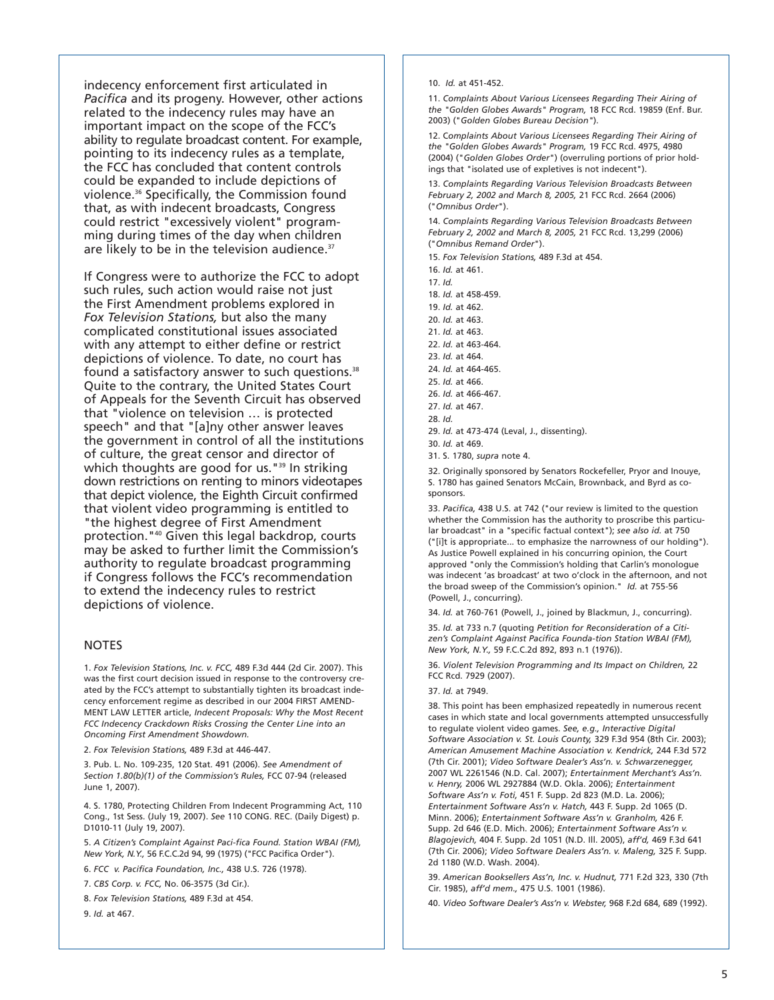indecency enforcement first articulated in *Pacifica* and its progeny. However, other actions related to the indecency rules may have an important impact on the scope of the FCC's ability to regulate broadcast content. For example, pointing to its indecency rules as a template, the FCC has concluded that content controls could be expanded to include depictions of violence.36 Specifically, the Commission found that, as with indecent broadcasts, Congress could restrict "excessively violent" programming during times of the day when children are likely to be in the television audience.<sup>37</sup>

If Congress were to authorize the FCC to adopt such rules, such action would raise not just the First Amendment problems explored in *Fox Television Stations,* but also the many complicated constitutional issues associated with any attempt to either define or restrict depictions of violence. To date, no court has found a satisfactory answer to such questions.<sup>38</sup> Quite to the contrary, the United States Court of Appeals for the Seventh Circuit has observed that "violence on television … is protected speech" and that "[a]ny other answer leaves the government in control of all the institutions of culture, the great censor and director of which thoughts are good for us."<sup>39</sup> In striking down restrictions on renting to minors videotapes that depict violence, the Eighth Circuit confirmed that violent video programming is entitled to "the highest degree of First Amendment protection."40 Given this legal backdrop, courts may be asked to further limit the Commission's authority to regulate broadcast programming if Congress follows the FCC's recommendation to extend the indecency rules to restrict depictions of violence.

#### NOTES

1. *Fox Television Stations, Inc. v. FCC,* 489 F.3d 444 (2d Cir. 2007). This was the first court decision issued in response to the controversy created by the FCC's attempt to substantially tighten its broadcast indecency enforcement regime as described in our 2004 FIRST AMEND-MENT LAW LETTER article, *Indecent Proposals: Why the Most Recent FCC Indecency Crackdown Risks Crossing the Center Line into an Oncoming First Amendment Showdown.* 

2. *Fox Television Stations,* 489 F.3d at 446-447.

3. Pub. L. No. 109-235, 120 Stat. 491 (2006). *See Amendment of Section 1.80(b)(1) of the Commission's Rules,* FCC 07-94 (released June 1, 2007).

4. S. 1780, Protecting Children From Indecent Programming Act, 110 Cong., 1st Sess. (July 19, 2007). *See* 110 CONG. REC. (Daily Digest) p. D1010-11 (July 19, 2007).

5. *A Citizen's Complaint Against Paci-fica Found. Station WBAI (FM), New York, N.Y.,* 56 F.C.C.2d 94, 99 (1975) ("FCC Pacifica Order").

6. *FCC v. Pacifica Foundation, Inc.,* 438 U.S. 726 (1978).

7. *CBS Corp. v. FCC,* No. 06-3575 (3d Cir.).

8. *Fox Television Stations,* 489 F.3d at 454.

9. *Id.* at 467.

10. *Id.* at 451-452.

11. *Complaints About Various Licensees Regarding Their Airing of the "Golden Globes Awards" Program,* 18 FCC Rcd. 19859 (Enf. Bur. 2003) ("*Golden Globes Bureau Decision"*).

12. C*omplaints About Various Licensees Regarding Their Airing of the "Golden Globes Awards" Program,* 19 FCC Rcd. 4975, 4980 (2004) ("*Golden Globes Order*") (overruling portions of prior holdings that "isolated use of expletives is not indecent").

13. *Complaints Regarding Various Television Broadcasts Between February 2, 2002 and March 8, 2005,* 21 FCC Rcd. 2664 (2006) ("*Omnibus Order*").

14. *Complaints Regarding Various Television Broadcasts Between February 2, 2002 and March 8, 2005,* 21 FCC Rcd. 13,299 (2006) ("*Omnibus Remand Order*").

15. *Fox Television Stations,* 489 F.3d at 454.

16. *Id.* at 461.

17. *Id.* 18. *Id.* at 458-459.

19. *Id.* at 462.

20. *Id.* at 463.

21. *Id.* at 463.

22. *Id.* at 463-464.

23. *Id.* at 464. 24. *Id.* at 464-465.

25. *Id.* at 466.

26. *Id.* at 466-467.

27. *Id.* at 467.

28. *Id.* 

29. *Id.* at 473-474 (Leval, J., dissenting).

30. *Id.* at 469.

31. S. 1780, *supra* note 4.

32. Originally sponsored by Senators Rockefeller, Pryor and Inouye, S. 1780 has gained Senators McCain, Brownback, and Byrd as cosponsors.

33. *Pacifica,* 438 U.S. at 742 ("our review is limited to the question whether the Commission has the authority to proscribe this particular broadcast" in a "specific factual context"); *see also id.* at 750 ("[i]t is appropriate... to emphasize the narrowness of our holding"). As Justice Powell explained in his concurring opinion, the Court approved "only the Commission's holding that Carlin's monologue was indecent 'as broadcast' at two o'clock in the afternoon, and not the broad sweep of the Commission's opinion." *Id.* at 755-56 (Powell, J., concurring).

34. *Id.* at 760-761 (Powell, J., joined by Blackmun, J., concurring). 35. *Id.* at 733 n.7 (quoting *Petition for Reconsideration of a Citizen's Complaint Against Pacifica Founda-tion Station WBAI (FM), New York, N.Y.,* 59 F.C.C.2d 892, 893 n.1 (1976)).

36. *Violent Television Programming and Its Impact on Children,* 22 FCC Rcd. 7929 (2007).

37. *Id.* at 7949.

38. This point has been emphasized repeatedly in numerous recent cases in which state and local governments attempted unsuccessfully to regulate violent video games. *See, e.g., Interactive Digital Software Association v. St. Louis County,* 329 F.3d 954 (8th Cir. 2003); *American Amusement Machine Association v. Kendrick,* 244 F.3d 572 (7th Cir. 2001); *Video Software Dealer's Ass'n. v. Schwarzenegger,* 2007 WL 2261546 (N.D. Cal. 2007); *Entertainment Merchant's Ass'n. v. Henry,* 2006 WL 2927884 (W.D. Okla. 2006); *Entertainment Software Ass'n v. Foti,* 451 F. Supp. 2d 823 (M.D. La. 2006); *Entertainment Software Ass'n v. Hatch,* 443 F. Supp. 2d 1065 (D. Minn. 2006); *Entertainment Software Ass'n v. Granholm,* 426 F. Supp. 2d 646 (E.D. Mich. 2006); *Entertainment Software Ass'n v. Blagojevich,* 404 F. Supp. 2d 1051 (N.D. Ill. 2005), *aff'd,* 469 F.3d 641 (7th Cir. 2006); *Video Software Dealers Ass'n. v. Maleng,* 325 F. Supp. 2d 1180 (W.D. Wash. 2004).

39. *American Booksellers Ass'n, Inc. v. Hudnut,* 771 F.2d 323, 330 (7th Cir. 1985), *aff'd mem.,* 475 U.S. 1001 (1986).

40. *Video Software Dealer's Ass'n v. Webster,* 968 F.2d 684, 689 (1992).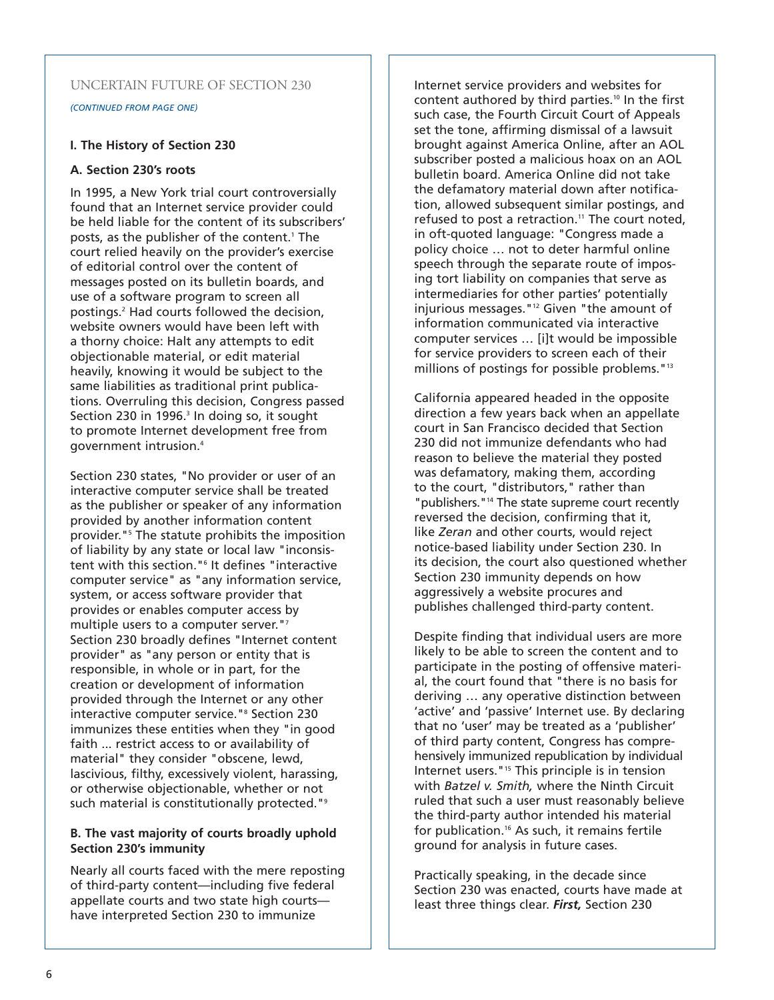## UNCERTAIN FUTURE OF SECTION 230

*(CONTINUED FROM PAGE ONE)*

## **I. The History of Section 230**

### **A. Section 230's roots**

In 1995, a New York trial court controversially found that an Internet service provider could be held liable for the content of its subscribers' posts, as the publisher of the content.<sup>1</sup> The court relied heavily on the provider's exercise of editorial control over the content of messages posted on its bulletin boards, and use of a software program to screen all postings.2 Had courts followed the decision, website owners would have been left with a thorny choice: Halt any attempts to edit objectionable material, or edit material heavily, knowing it would be subject to the same liabilities as traditional print publications. Overruling this decision, Congress passed Section 230 in 1996.<sup>3</sup> In doing so, it sought to promote Internet development free from government intrusion.4

Section 230 states, "No provider or user of an interactive computer service shall be treated as the publisher or speaker of any information provided by another information content provider."5 The statute prohibits the imposition of liability by any state or local law "inconsistent with this section."<sup>6</sup> It defines "interactive computer service" as "any information service, system, or access software provider that provides or enables computer access by multiple users to a computer server."<sup>7</sup> Section 230 broadly defines "Internet content provider" as "any person or entity that is responsible, in whole or in part, for the creation or development of information provided through the Internet or any other interactive computer service."<sup>8</sup> Section 230 immunizes these entities when they "in good faith ... restrict access to or availability of material" they consider "obscene, lewd, lascivious, filthy, excessively violent, harassing, or otherwise objectionable, whether or not such material is constitutionally protected."<sup>9</sup>

## **B. The vast majority of courts broadly uphold Section 230's immunity**

Nearly all courts faced with the mere reposting of third-party content—including five federal appellate courts and two state high courts have interpreted Section 230 to immunize

Internet service providers and websites for content authored by third parties.<sup>10</sup> In the first such case, the Fourth Circuit Court of Appeals set the tone, affirming dismissal of a lawsuit brought against America Online, after an AOL subscriber posted a malicious hoax on an AOL bulletin board. America Online did not take the defamatory material down after notification, allowed subsequent similar postings, and refused to post a retraction.<sup>11</sup> The court noted, in oft-quoted language: "Congress made a policy choice … not to deter harmful online speech through the separate route of imposing tort liability on companies that serve as intermediaries for other parties' potentially injurious messages."12 Given "the amount of information communicated via interactive computer services … [i]t would be impossible for service providers to screen each of their millions of postings for possible problems."13

California appeared headed in the opposite direction a few years back when an appellate court in San Francisco decided that Section 230 did not immunize defendants who had reason to believe the material they posted was defamatory, making them, according to the court, "distributors," rather than "publishers."14 The state supreme court recently reversed the decision, confirming that it, like *Zeran* and other courts, would reject notice-based liability under Section 230. In its decision, the court also questioned whether Section 230 immunity depends on how aggressively a website procures and publishes challenged third-party content.

Despite finding that individual users are more likely to be able to screen the content and to participate in the posting of offensive material, the court found that "there is no basis for deriving … any operative distinction between 'active' and 'passive' Internet use. By declaring that no 'user' may be treated as a 'publisher' of third party content, Congress has comprehensively immunized republication by individual Internet users."<sup>15</sup> This principle is in tension with *Batzel v. Smith,* where the Ninth Circuit ruled that such a user must reasonably believe the third-party author intended his material for publication.16 As such, it remains fertile ground for analysis in future cases.

Practically speaking, in the decade since Section 230 was enacted, courts have made at least three things clear. *First,* Section 230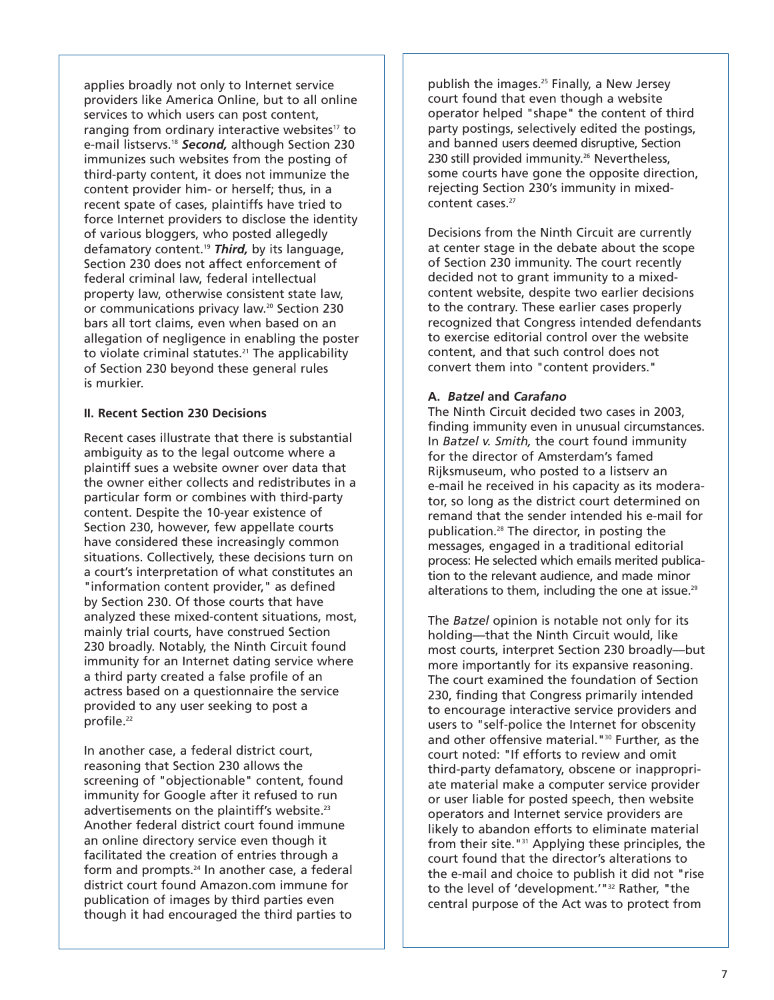applies broadly not only to Internet service providers like America Online, but to all online services to which users can post content, ranging from ordinary interactive websites<sup>17</sup> to e-mail listservs.18 *Second,* although Section 230 immunizes such websites from the posting of third-party content, it does not immunize the content provider him- or herself; thus, in a recent spate of cases, plaintiffs have tried to force Internet providers to disclose the identity of various bloggers, who posted allegedly defamatory content.19 *Third,* by its language, Section 230 does not affect enforcement of federal criminal law, federal intellectual property law, otherwise consistent state law, or communications privacy law.<sup>20</sup> Section 230 bars all tort claims, even when based on an allegation of negligence in enabling the poster to violate criminal statutes.<sup>21</sup> The applicability of Section 230 beyond these general rules is murkier.

## **II. Recent Section 230 Decisions**

Recent cases illustrate that there is substantial ambiguity as to the legal outcome where a plaintiff sues a website owner over data that the owner either collects and redistributes in a particular form or combines with third-party content. Despite the 10-year existence of Section 230, however, few appellate courts have considered these increasingly common situations. Collectively, these decisions turn on a court's interpretation of what constitutes an "information content provider," as defined by Section 230. Of those courts that have analyzed these mixed-content situations, most, mainly trial courts, have construed Section 230 broadly. Notably, the Ninth Circuit found immunity for an Internet dating service where a third party created a false profile of an actress based on a questionnaire the service provided to any user seeking to post a profile.<sup>22</sup>

In another case, a federal district court, reasoning that Section 230 allows the screening of "objectionable" content, found immunity for Google after it refused to run advertisements on the plaintiff's website.<sup>23</sup> Another federal district court found immune an online directory service even though it facilitated the creation of entries through a form and prompts.24 In another case, a federal district court found Amazon.com immune for publication of images by third parties even though it had encouraged the third parties to

publish the images.<sup>25</sup> Finally, a New Jersey court found that even though a website operator helped "shape" the content of third party postings, selectively edited the postings, and banned users deemed disruptive, Section 230 still provided immunity.<sup>26</sup> Nevertheless, some courts have gone the opposite direction, rejecting Section 230's immunity in mixedcontent cases.<sup>27</sup>

Decisions from the Ninth Circuit are currently at center stage in the debate about the scope of Section 230 immunity. The court recently decided not to grant immunity to a mixedcontent website, despite two earlier decisions to the contrary. These earlier cases properly recognized that Congress intended defendants to exercise editorial control over the website content, and that such control does not convert them into "content providers."

## **A.** *Batzel* **and** *Carafano*

The Ninth Circuit decided two cases in 2003, finding immunity even in unusual circumstances. In *Batzel v. Smith,* the court found immunity for the director of Amsterdam's famed Rijksmuseum, who posted to a listserv an e-mail he received in his capacity as its moderator, so long as the district court determined on remand that the sender intended his e-mail for publication.28 The director, in posting the messages, engaged in a traditional editorial process: He selected which emails merited publication to the relevant audience, and made minor alterations to them, including the one at issue.<sup>29</sup>

The *Batzel* opinion is notable not only for its holding—that the Ninth Circuit would, like most courts, interpret Section 230 broadly—but more importantly for its expansive reasoning. The court examined the foundation of Section 230, finding that Congress primarily intended to encourage interactive service providers and users to "self-police the Internet for obscenity and other offensive material."<sup>30</sup> Further, as the court noted: "If efforts to review and omit third-party defamatory, obscene or inappropriate material make a computer service provider or user liable for posted speech, then website operators and Internet service providers are likely to abandon efforts to eliminate material from their site."31 Applying these principles, the court found that the director's alterations to the e-mail and choice to publish it did not "rise to the level of 'development.'"<sup>32</sup> Rather, "the central purpose of the Act was to protect from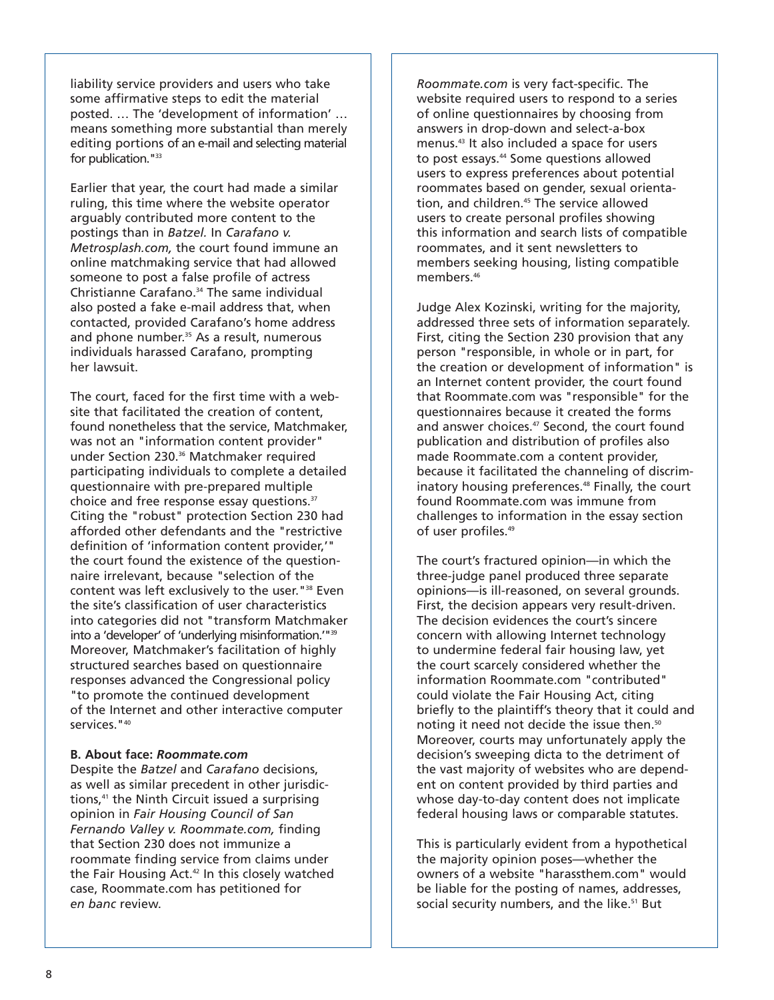liability service providers and users who take some affirmative steps to edit the material posted. … The 'development of information' … means something more substantial than merely editing portions of an e-mail and selecting material for publication."<sup>33</sup>

Earlier that year, the court had made a similar ruling, this time where the website operator arguably contributed more content to the postings than in *Batzel.* In *Carafano v. Metrosplash.com,* the court found immune an online matchmaking service that had allowed someone to post a false profile of actress Christianne Carafano.34 The same individual also posted a fake e-mail address that, when contacted, provided Carafano's home address and phone number.<sup>35</sup> As a result, numerous individuals harassed Carafano, prompting her lawsuit.

The court, faced for the first time with a website that facilitated the creation of content, found nonetheless that the service, Matchmaker, was not an "information content provider" under Section 230.36 Matchmaker required participating individuals to complete a detailed questionnaire with pre-prepared multiple choice and free response essay questions.<sup>37</sup> Citing the "robust" protection Section 230 had afforded other defendants and the "restrictive definition of 'information content provider,'" the court found the existence of the questionnaire irrelevant, because "selection of the content was left exclusively to the user."38 Even the site's classification of user characteristics into categories did not "transform Matchmaker into a 'developer' of 'underlying misinformation.'"39 Moreover, Matchmaker's facilitation of highly structured searches based on questionnaire responses advanced the Congressional policy "to promote the continued development of the Internet and other interactive computer services."40

### **B. About face:** *Roommate.com*

Despite the *Batzel* and *Carafano* decisions, as well as similar precedent in other jurisdictions,<sup>41</sup> the Ninth Circuit issued a surprising opinion in *Fair Housing Council of San Fernando Valley v. Roommate.com,* finding that Section 230 does not immunize a roommate finding service from claims under the Fair Housing Act.<sup>42</sup> In this closely watched case, Roommate.com has petitioned for *en banc* review.

*Roommate.com* is very fact-specific. The website required users to respond to a series of online questionnaires by choosing from answers in drop-down and select-a-box menus.43 It also included a space for users to post essays.44 Some questions allowed users to express preferences about potential roommates based on gender, sexual orientation, and children.45 The service allowed users to create personal profiles showing this information and search lists of compatible roommates, and it sent newsletters to members seeking housing, listing compatible members.46

Judge Alex Kozinski, writing for the majority, addressed three sets of information separately. First, citing the Section 230 provision that any person "responsible, in whole or in part, for the creation or development of information" is an Internet content provider, the court found that Roommate.com was "responsible" for the questionnaires because it created the forms and answer choices.<sup>47</sup> Second, the court found publication and distribution of profiles also made Roommate.com a content provider, because it facilitated the channeling of discriminatory housing preferences.<sup>48</sup> Finally, the court found Roommate.com was immune from challenges to information in the essay section of user profiles.<sup>49</sup>

The court's fractured opinion—in which the three-judge panel produced three separate opinions—is ill-reasoned, on several grounds. First, the decision appears very result-driven. The decision evidences the court's sincere concern with allowing Internet technology to undermine federal fair housing law, yet the court scarcely considered whether the information Roommate.com "contributed" could violate the Fair Housing Act, citing briefly to the plaintiff's theory that it could and noting it need not decide the issue then.<sup>50</sup> Moreover, courts may unfortunately apply the decision's sweeping dicta to the detriment of the vast majority of websites who are dependent on content provided by third parties and whose day-to-day content does not implicate federal housing laws or comparable statutes.

This is particularly evident from a hypothetical the majority opinion poses—whether the owners of a website "harassthem.com" would be liable for the posting of names, addresses, social security numbers, and the like.<sup>51</sup> But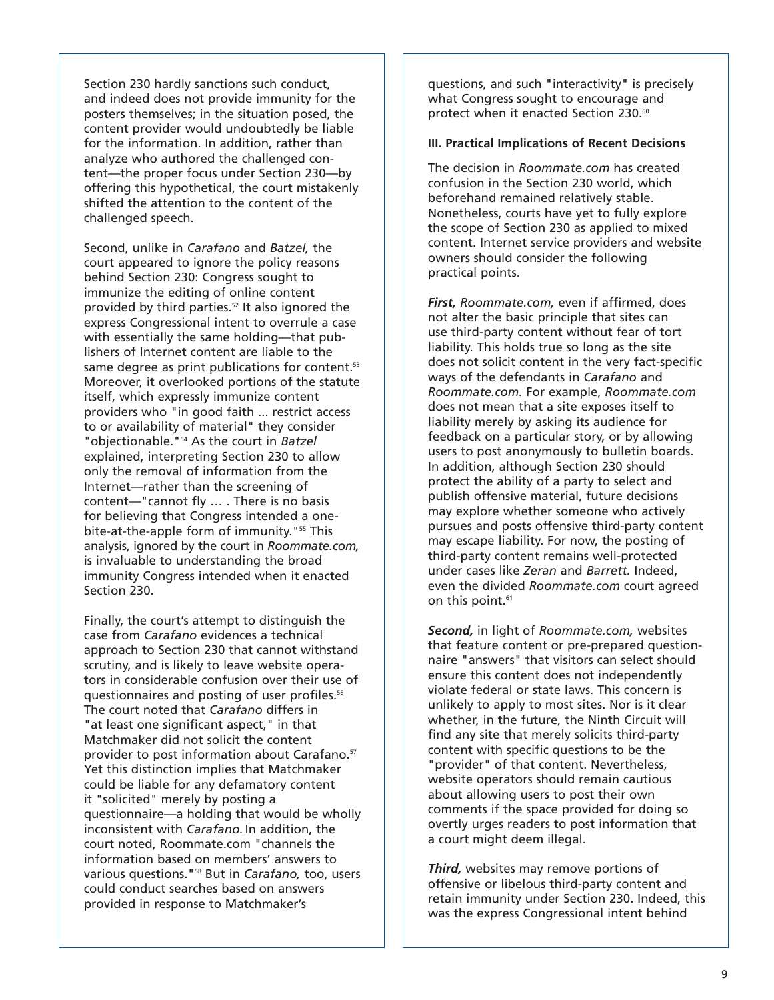Section 230 hardly sanctions such conduct, and indeed does not provide immunity for the posters themselves; in the situation posed, the content provider would undoubtedly be liable for the information. In addition, rather than analyze who authored the challenged content—the proper focus under Section 230—by offering this hypothetical, the court mistakenly shifted the attention to the content of the challenged speech.

Second, unlike in *Carafano* and *Batzel,* the court appeared to ignore the policy reasons behind Section 230: Congress sought to immunize the editing of online content provided by third parties.52 It also ignored the express Congressional intent to overrule a case with essentially the same holding—that publishers of Internet content are liable to the same degree as print publications for content.<sup>53</sup> Moreover, it overlooked portions of the statute itself, which expressly immunize content providers who "in good faith ... restrict access to or availability of material" they consider "objectionable."54 As the court in *Batzel* explained, interpreting Section 230 to allow only the removal of information from the Internet—rather than the screening of content—"cannot fly … . There is no basis for believing that Congress intended a onebite-at-the-apple form of immunity. "<sup>55</sup> This analysis, ignored by the court in *Roommate.com,* is invaluable to understanding the broad immunity Congress intended when it enacted Section 230.

Finally, the court's attempt to distinguish the case from *Carafano* evidences a technical approach to Section 230 that cannot withstand scrutiny, and is likely to leave website operators in considerable confusion over their use of questionnaires and posting of user profiles.56 The court noted that *Carafano* differs in "at least one significant aspect," in that Matchmaker did not solicit the content provider to post information about Carafano.<sup>57</sup> Yet this distinction implies that Matchmaker could be liable for any defamatory content it "solicited" merely by posting a questionnaire—a holding that would be wholly inconsistent with *Carafano.* In addition, the court noted, Roommate.com "channels the information based on members' answers to various questions."58 But in *Carafano,* too, users could conduct searches based on answers provided in response to Matchmaker's

questions, and such "interactivity" is precisely what Congress sought to encourage and protect when it enacted Section 230.<sup>60</sup>

#### **III. Practical Implications of Recent Decisions**

The decision in *Roommate.com* has created confusion in the Section 230 world, which beforehand remained relatively stable. Nonetheless, courts have yet to fully explore the scope of Section 230 as applied to mixed content. Internet service providers and website owners should consider the following practical points.

*First, Roommate.com,* even if affirmed, does not alter the basic principle that sites can use third-party content without fear of tort liability. This holds true so long as the site does not solicit content in the very fact-specific ways of the defendants in *Carafano* and *Roommate.com.* For example, *Roommate.com* does not mean that a site exposes itself to liability merely by asking its audience for feedback on a particular story, or by allowing users to post anonymously to bulletin boards. In addition, although Section 230 should protect the ability of a party to select and publish offensive material, future decisions may explore whether someone who actively pursues and posts offensive third-party content may escape liability. For now, the posting of third-party content remains well-protected under cases like *Zeran* and *Barrett.* Indeed, even the divided *Roommate.com* court agreed on this point.<sup>61</sup>

*Second,* in light of *Roommate.com,* websites that feature content or pre-prepared questionnaire "answers" that visitors can select should ensure this content does not independently violate federal or state laws. This concern is unlikely to apply to most sites. Nor is it clear whether, in the future, the Ninth Circuit will find any site that merely solicits third-party content with specific questions to be the "provider" of that content. Nevertheless, website operators should remain cautious about allowing users to post their own comments if the space provided for doing so overtly urges readers to post information that a court might deem illegal.

*Third,* websites may remove portions of offensive or libelous third-party content and retain immunity under Section 230. Indeed, this was the express Congressional intent behind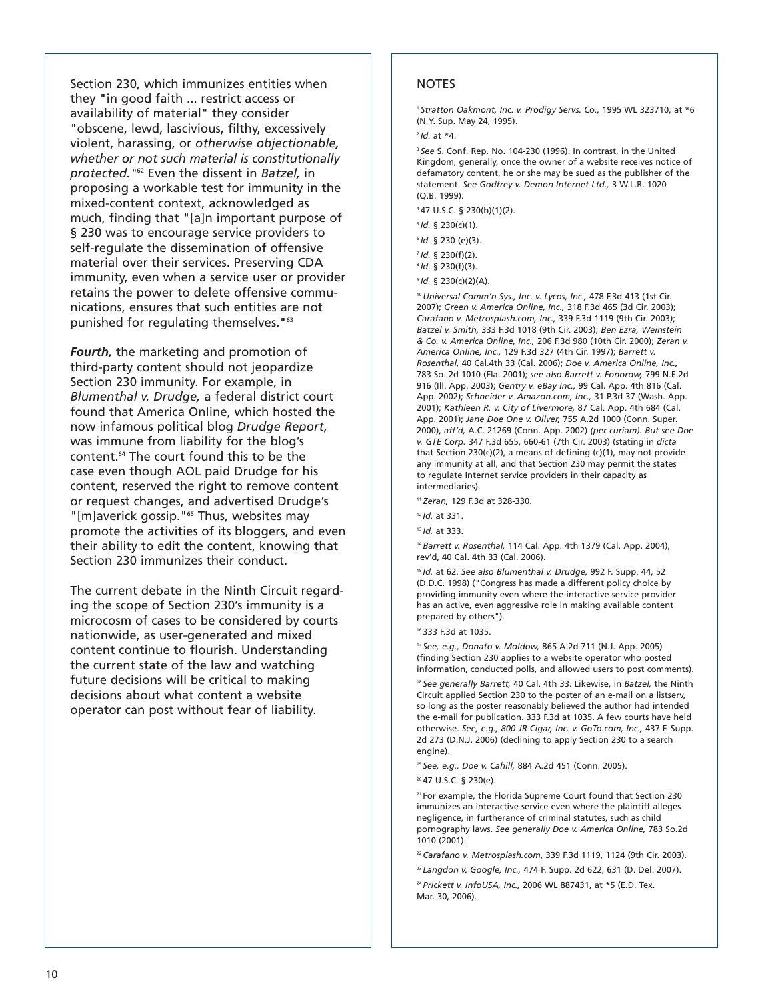Section 230, which immunizes entities when they "in good faith ... restrict access or availability of material" they consider "obscene, lewd, lascivious, filthy, excessively violent, harassing, or *otherwise objectionable, whether or not such material is constitutionally protected."*<sup>62</sup> Even the dissent in *Batzel,* in proposing a workable test for immunity in the mixed-content context, acknowledged as much, finding that "[a]n important purpose of § 230 was to encourage service providers to self-regulate the dissemination of offensive material over their services. Preserving CDA immunity, even when a service user or provider retains the power to delete offensive communications, ensures that such entities are not punished for regulating themselves."63

*Fourth,* the marketing and promotion of third-party content should not jeopardize Section 230 immunity. For example, in *Blumenthal v. Drudge,* a federal district court found that America Online, which hosted the now infamous political blog *Drudge Report*, was immune from liability for the blog's content.64 The court found this to be the case even though AOL paid Drudge for his content, reserved the right to remove content or request changes, and advertised Drudge's "[m]averick gossip."<sup>65</sup> Thus, websites may promote the activities of its bloggers, and even their ability to edit the content, knowing that Section 230 immunizes their conduct.

The current debate in the Ninth Circuit regarding the scope of Section 230's immunity is a microcosm of cases to be considered by courts nationwide, as user-generated and mixed content continue to flourish. Understanding the current state of the law and watching future decisions will be critical to making decisions about what content a website operator can post without fear of liability.

### **NOTES**

<sup>1</sup> *Stratton Oakmont, Inc. v. Prodigy Servs. Co.,* 1995 WL 323710, at \*6 (N.Y. Sup. May 24, 1995).

<sup>2</sup>*Id.* at \*4.

<sup>3</sup> See S. Conf. Rep. No. 104-230 (1996). In contrast, in the United Kingdom, generally, once the owner of a website receives notice of defamatory content, he or she may be sued as the publisher of the statement. *See Godfrey v. Demon Internet Ltd.,* 3 W.L.R. 1020 (Q.B. 1999).

4 47 U.S.C. § 230(b)(1)(2).

- <sup>5</sup>*Id.* § 230(c)(1).
- <sup>6</sup>*Id.* § 230 (e)(3).
- <sup>7</sup>*Id.* § 230(f)(2).
- <sup>8</sup>*Id.* § 230(f)(3).

<sup>9</sup>*Id.* § 230(c)(2)(A).

<sup>10</sup>*Universal Comm'n Sys., Inc. v. Lycos, Inc.,* 478 F.3d 413 (1st Cir. 2007); *Green v. America Online, Inc.,* 318 F.3d 465 (3d Cir. 2003); *Carafano v. Metrosplash.com, Inc.,* 339 F.3d 1119 (9th Cir. 2003); *Batzel v. Smith,* 333 F.3d 1018 (9th Cir. 2003); *Ben Ezra, Weinstein & Co. v. America Online, Inc.,* 206 F.3d 980 (10th Cir. 2000); *Zeran v. America Online, Inc.,* 129 F.3d 327 (4th Cir. 1997); *Barrett v. Rosenthal,* 40 Cal.4th 33 (Cal. 2006); *Doe v. America Online, Inc.,* 783 So. 2d 1010 (Fla. 2001); *see also Barrett v. Fonorow,* 799 N.E.2d 916 (Ill. App. 2003); *Gentry v. eBay Inc.,* 99 Cal. App. 4th 816 (Cal. App. 2002); *Schneider v. Amazon.com, Inc.,* 31 P.3d 37 (Wash. App. 2001); *Kathleen R. v. City of Livermore,* 87 Cal. App. 4th 684 (Cal. App. 2001); *Jane Doe One v. Oliver,* 755 A.2d 1000 (Conn. Super. 2000), *aff'd,* A.C. 21269 (Conn. App. 2002) *(per curiam). But see Doe v. GTE Corp.* 347 F.3d 655, 660-61 (7th Cir. 2003) (stating in *dicta* that Section 230(c)(2), a means of defining (c)(1), may not provide any immunity at all, and that Section 230 may permit the states to regulate Internet service providers in their capacity as intermediaries).

<sup>11</sup>*Zeran,* 129 F.3d at 328-330.

<sup>13</sup> *Id.* at 333.

<sup>14</sup>*Barrett v. Rosenthal,* 114 Cal. App. 4th 1379 (Cal. App. 2004), rev'd, 40 Cal. 4th 33 (Cal. 2006).

<sup>15</sup>*Id.* at 62. *See also Blumenthal v. Drudge,* 992 F. Supp. 44, 52 (D.D.C. 1998) ("Congress has made a different policy choice by providing immunity even where the interactive service provider has an active, even aggressive role in making available content prepared by others").

16 333 F.3d at 1035.

<sup>17</sup>*See, e.g., Donato v. Moldow,* 865 A.2d 711 (N.J. App. 2005) (finding Section 230 applies to a website operator who posted information, conducted polls, and allowed users to post comments).

<sup>18</sup>*See generally Barrett,* 40 Cal. 4th 33. Likewise, in *Batzel,* the Ninth Circuit applied Section 230 to the poster of an e-mail on a listserv, so long as the poster reasonably believed the author had intended the e-mail for publication. 333 F.3d at 1035. A few courts have held otherwise. *See, e.g., 800-JR Cigar, Inc. v. GoTo.com, Inc.,* 437 F. Supp. 2d 273 (D.N.J. 2006) (declining to apply Section 230 to a search engine).

<sup>19</sup>*See, e.g., Doe v. Cahill,* 884 A.2d 451 (Conn. 2005).

20 47 U.S.C. § 230(e).

21 For example, the Florida Supreme Court found that Section 230 immunizes an interactive service even where the plaintiff alleges negligence, in furtherance of criminal statutes, such as child pornography laws. *See generally Doe v. America Online,* 783 So.2d 1010 (2001).

<sup>22</sup>*Carafano v. Metrosplash.com*, 339 F.3d 1119, 1124 (9th Cir. 2003).

<sup>23</sup>*Langdon v. Google, Inc.,* 474 F. Supp. 2d 622, 631 (D. Del. 2007). <sup>24</sup>*Prickett v. InfoUSA, Inc.,* 2006 WL 887431, at \*5 (E.D. Tex. Mar. 30, 2006).

<sup>12</sup>*Id.* at 331.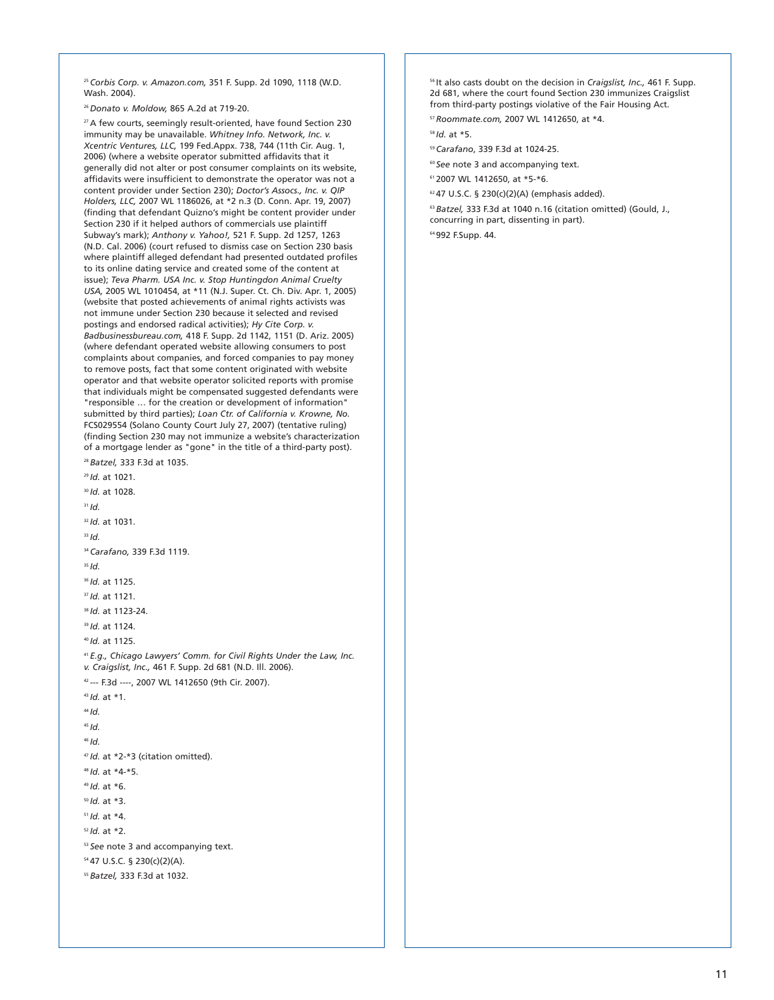<sup>25</sup>*Corbis Corp. v. Amazon.com,* 351 F. Supp. 2d 1090, 1118 (W.D. Wash. 2004).

<sup>26</sup>*Donato v. Moldow,* 865 A.2d at 719-20.

<sup>27</sup> A few courts, seemingly result-oriented, have found Section 230 immunity may be unavailable. *Whitney Info. Network, Inc. v. Xcentric Ventures, LLC,* 199 Fed.Appx. 738, 744 (11th Cir. Aug. 1, 2006) (where a website operator submitted affidavits that it generally did not alter or post consumer complaints on its website, affidavits were insufficient to demonstrate the operator was not a content provider under Section 230); *Doctor's Assocs., Inc. v. QIP Holders, LLC,* 2007 WL 1186026, at \*2 n.3 (D. Conn. Apr. 19, 2007) (finding that defendant Quizno's might be content provider under Section 230 if it helped authors of commercials use plaintiff Subway's mark); *Anthony v. Yahoo!,* 521 F. Supp. 2d 1257, 1263 (N.D. Cal. 2006) (court refused to dismiss case on Section 230 basis where plaintiff alleged defendant had presented outdated profiles to its online dating service and created some of the content at issue); *Teva Pharm. USA Inc. v. Stop Huntingdon Animal Cruelty USA,* 2005 WL 1010454, at \*11 (N.J. Super. Ct. Ch. Div. Apr. 1, 2005) (website that posted achievements of animal rights activists was not immune under Section 230 because it selected and revised postings and endorsed radical activities); *Hy Cite Corp. v. Badbusinessbureau.com,* 418 F. Supp. 2d 1142, 1151 (D. Ariz. 2005) (where defendant operated website allowing consumers to post complaints about companies, and forced companies to pay money to remove posts, fact that some content originated with website operator and that website operator solicited reports with promise that individuals might be compensated suggested defendants were "responsible … for the creation or development of information" submitted by third parties); *Loan Ctr. of California v. Krowne, No.* FCS029554 (Solano County Court July 27, 2007) (tentative ruling) (finding Section 230 may not immunize a website's characterization of a mortgage lender as "gone" in the title of a third-party post).

<sup>28</sup>*Batzel,* 333 F.3d at 1035.

- <sup>29</sup>*Id.* at 1021. <sup>30</sup>*Id.* at 1028. <sup>31</sup>*Id.* <sup>32</sup>*Id.* at 1031. <sup>33</sup>*Id.* <sup>34</sup>*Carafano,* 339 F.3d 1119. <sup>35</sup> *Id.* <sup>36</sup>*Id.* at 1125. <sup>37</sup>*Id.* at 1121. <sup>38</sup>*Id.* at 1123-24. <sup>39</sup>*Id.* at 1124. <sup>40</sup>*Id.* at 1125. <sup>41</sup>*E.g., Chicago Lawyers' Comm. for Civil Rights Under the Law, Inc. v. Craigslist, Inc.,* 461 F. Supp. 2d 681 (N.D. Ill. 2006). 42 --- F.3d ----, 2007 WL 1412650 (9th Cir. 2007). <sup>43</sup>*Id.* at \*1. <sup>44</sup>*Id.* <sup>45</sup>*Id.* <sup>46</sup>*Id.* <sup>47</sup>*Id.* at \*2-\*3 (citation omitted). <sup>48</sup>*Id.* at \*4-\*5. <sup>49</sup>*Id.* at \*6. <sup>50</sup>*Id.* at \*3. <sup>51</sup>*Id.* at \*4. <sup>52</sup>*Id.* at \*2. <sup>53</sup>*See* note 3 and accompanying text. 54 47 U.S.C. § 230(c)(2)(A).
- <sup>55</sup>*Batzel,* 333 F.3d at 1032.

56 It also casts doubt on the decision in *Craigslist, Inc.,* 461 F. Supp. 2d 681, where the court found Section 230 immunizes Craigslist from third-party postings violative of the Fair Housing Act.

<sup>57</sup>*Roommate.com,* 2007 WL 1412650, at \*4.

<sup>58</sup> *Id.* at \*5.

<sup>59</sup>*Carafano*, 339 F.3d at 1024-25.

<sup>60</sup>*See* note 3 and accompanying text.

61 2007 WL 1412650, at \*5-\*6.

 $62$  47 U.S.C. § 230(c)(2)(A) (emphasis added).

<sup>63</sup>*Batzel,* 333 F.3d at 1040 n.16 (citation omitted) (Gould, J., concurring in part, dissenting in part).

64 992 F.Supp. 44.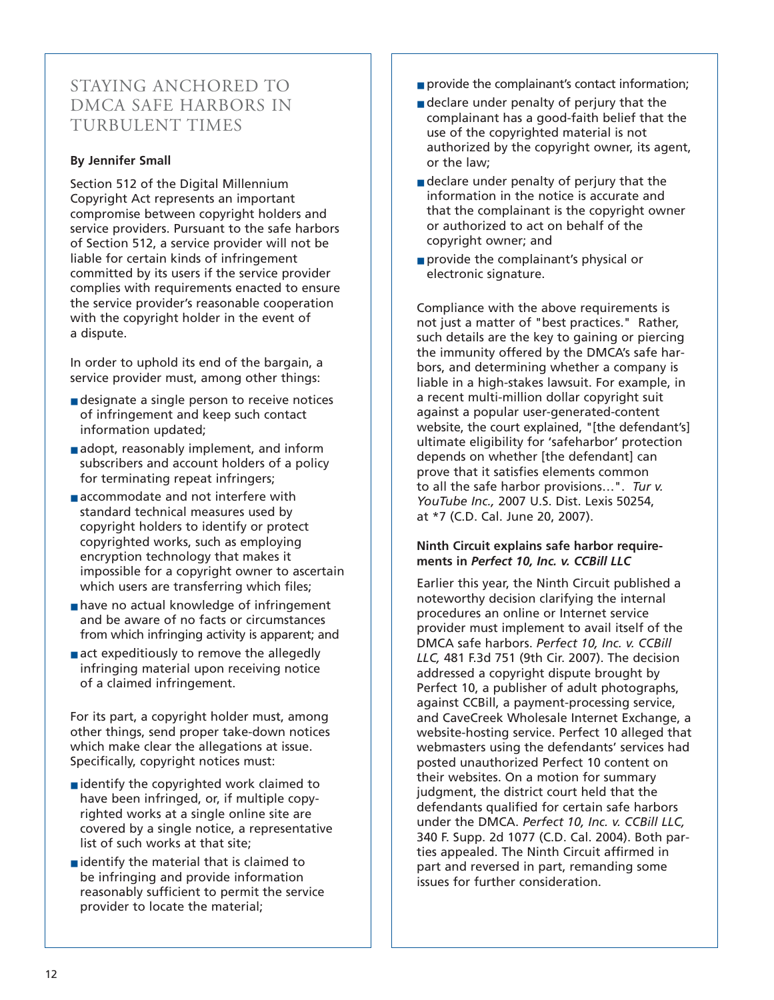## STAYING ANCHORED TO DMCA SAFE HARBORS IN TURBULENT TIMES

## **By Jennifer Small**

Section 512 of the Digital Millennium Copyright Act represents an important compromise between copyright holders and service providers. Pursuant to the safe harbors of Section 512, a service provider will not be liable for certain kinds of infringement committed by its users if the service provider complies with requirements enacted to ensure the service provider's reasonable cooperation with the copyright holder in the event of a dispute.

In order to uphold its end of the bargain, a service provider must, among other things:

- designate a single person to receive notices of infringement and keep such contact information updated;
- adopt, reasonably implement, and inform subscribers and account holders of a policy for terminating repeat infringers;
- accommodate and not interfere with standard technical measures used by copyright holders to identify or protect copyrighted works, such as employing encryption technology that makes it impossible for a copyright owner to ascertain which users are transferring which files;
- have no actual knowledge of infringement and be aware of no facts or circumstances from which infringing activity is apparent; and
- act expeditiously to remove the allegedly infringing material upon receiving notice of a claimed infringement.

For its part, a copyright holder must, among other things, send proper take-down notices which make clear the allegations at issue. Specifically, copyright notices must:

- identify the copyrighted work claimed to have been infringed, or, if multiple copyrighted works at a single online site are covered by a single notice, a representative list of such works at that site;
- $\blacksquare$  identify the material that is claimed to be infringing and provide information reasonably sufficient to permit the service provider to locate the material;
- provide the complainant's contact information;
- declare under penalty of perjury that the complainant has a good-faith belief that the use of the copyrighted material is not authorized by the copyright owner, its agent, or the law;
- declare under penalty of perjury that the information in the notice is accurate and that the complainant is the copyright owner or authorized to act on behalf of the copyright owner; and
- provide the complainant's physical or electronic signature.

Compliance with the above requirements is not just a matter of "best practices." Rather, such details are the key to gaining or piercing the immunity offered by the DMCA's safe harbors, and determining whether a company is liable in a high-stakes lawsuit. For example, in a recent multi-million dollar copyright suit against a popular user-generated-content website, the court explained, "[the defendant's] ultimate eligibility for 'safeharbor' protection depends on whether [the defendant] can prove that it satisfies elements common to all the safe harbor provisions…". *Tur v. YouTube Inc.,* 2007 U.S. Dist. Lexis 50254, at \*7 (C.D. Cal. June 20, 2007).

## **Ninth Circuit explains safe harbor requirements in** *Perfect 10, Inc. v. CCBill LLC*

Earlier this year, the Ninth Circuit published a noteworthy decision clarifying the internal procedures an online or Internet service provider must implement to avail itself of the DMCA safe harbors. *Perfect 10, Inc. v. CCBill LLC,* 481 F.3d 751 (9th Cir. 2007). The decision addressed a copyright dispute brought by Perfect 10, a publisher of adult photographs, against CCBill, a payment-processing service, and CaveCreek Wholesale Internet Exchange, a website-hosting service. Perfect 10 alleged that webmasters using the defendants' services had posted unauthorized Perfect 10 content on their websites. On a motion for summary judgment, the district court held that the defendants qualified for certain safe harbors under the DMCA. *Perfect 10, Inc. v. CCBill LLC,* 340 F. Supp. 2d 1077 (C.D. Cal. 2004). Both parties appealed. The Ninth Circuit affirmed in part and reversed in part, remanding some issues for further consideration.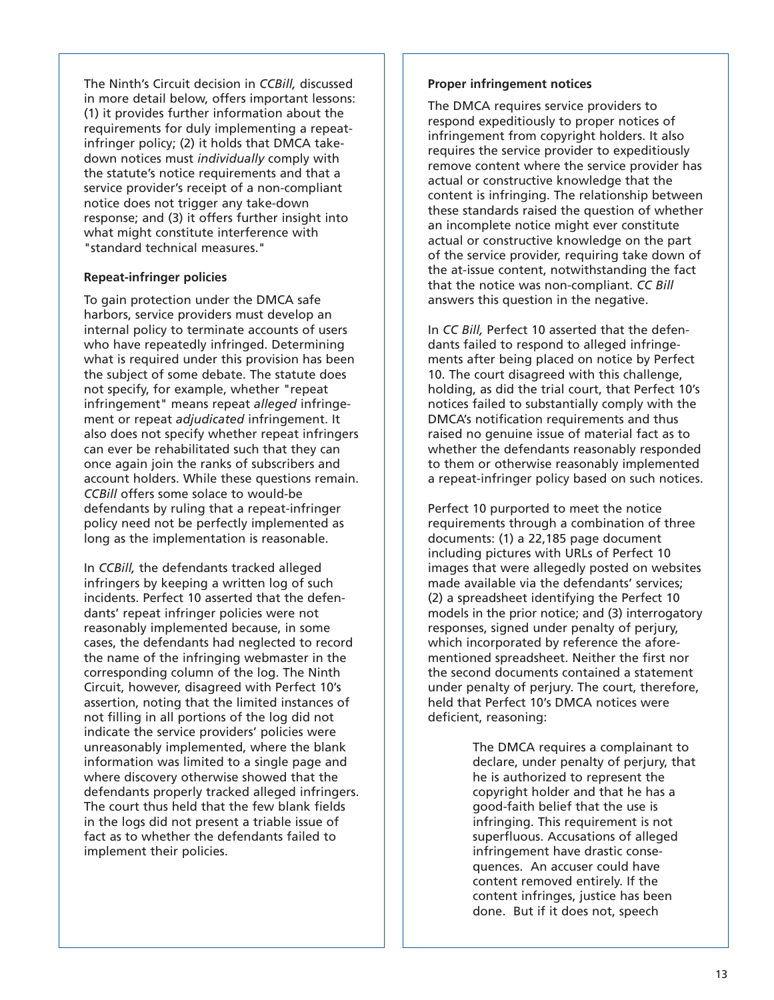The Ninth's Circuit decision in *CCBill,* discussed in more detail below, offers important lessons: (1) it provides further information about the requirements for duly implementing a repeatinfringer policy; (2) it holds that DMCA takedown notices must *individually* comply with the statute's notice requirements and that a service provider's receipt of a non-compliant notice does not trigger any take-down response; and (3) it offers further insight into what might constitute interference with "standard technical measures."

#### **Repeat-infringer policies**

To gain protection under the DMCA safe harbors, service providers must develop an internal policy to terminate accounts of users who have repeatedly infringed. Determining what is required under this provision has been the subject of some debate. The statute does not specify, for example, whether "repeat infringement" means repeat *alleged* infringement or repeat *adjudicated* infringement. It also does not specify whether repeat infringers can ever be rehabilitated such that they can once again join the ranks of subscribers and account holders. While these questions remain. *CCBill* offers some solace to would-be defendants by ruling that a repeat-infringer policy need not be perfectly implemented as long as the implementation is reasonable.

In *CCBill,* the defendants tracked alleged infringers by keeping a written log of such incidents. Perfect 10 asserted that the defendants' repeat infringer policies were not reasonably implemented because, in some cases, the defendants had neglected to record the name of the infringing webmaster in the corresponding column of the log. The Ninth Circuit, however, disagreed with Perfect 10's assertion, noting that the limited instances of not filling in all portions of the log did not indicate the service providers' policies were unreasonably implemented, where the blank information was limited to a single page and where discovery otherwise showed that the defendants properly tracked alleged infringers. The court thus held that the few blank fields in the logs did not present a triable issue of fact as to whether the defendants failed to implement their policies.

#### **Proper infringement notices**

The DMCA requires service providers to respond expeditiously to proper notices of infringement from copyright holders. It also requires the service provider to expeditiously remove content where the service provider has actual or constructive knowledge that the content is infringing. The relationship between these standards raised the question of whether an incomplete notice might ever constitute actual or constructive knowledge on the part of the service provider, requiring take down of the at-issue content, notwithstanding the fact that the notice was non-compliant. *CC Bill* answers this question in the negative.

In *CC Bill,* Perfect 10 asserted that the defendants failed to respond to alleged infringements after being placed on notice by Perfect 10. The court disagreed with this challenge, holding, as did the trial court, that Perfect 10's notices failed to substantially comply with the DMCA's notification requirements and thus raised no genuine issue of material fact as to whether the defendants reasonably responded to them or otherwise reasonably implemented a repeat-infringer policy based on such notices.

Perfect 10 purported to meet the notice requirements through a combination of three documents: (1) a 22,185 page document including pictures with URLs of Perfect 10 images that were allegedly posted on websites made available via the defendants' services; (2) a spreadsheet identifying the Perfect 10 models in the prior notice; and (3) interrogatory responses, signed under penalty of perjury, which incorporated by reference the aforementioned spreadsheet. Neither the first nor the second documents contained a statement under penalty of perjury. The court, therefore, held that Perfect 10's DMCA notices were deficient, reasoning:

> The DMCA requires a complainant to declare, under penalty of perjury, that he is authorized to represent the copyright holder and that he has a good-faith belief that the use is infringing. This requirement is not superfluous. Accusations of alleged infringement have drastic consequences. An accuser could have content removed entirely. If the content infringes, justice has been done. But if it does not, speech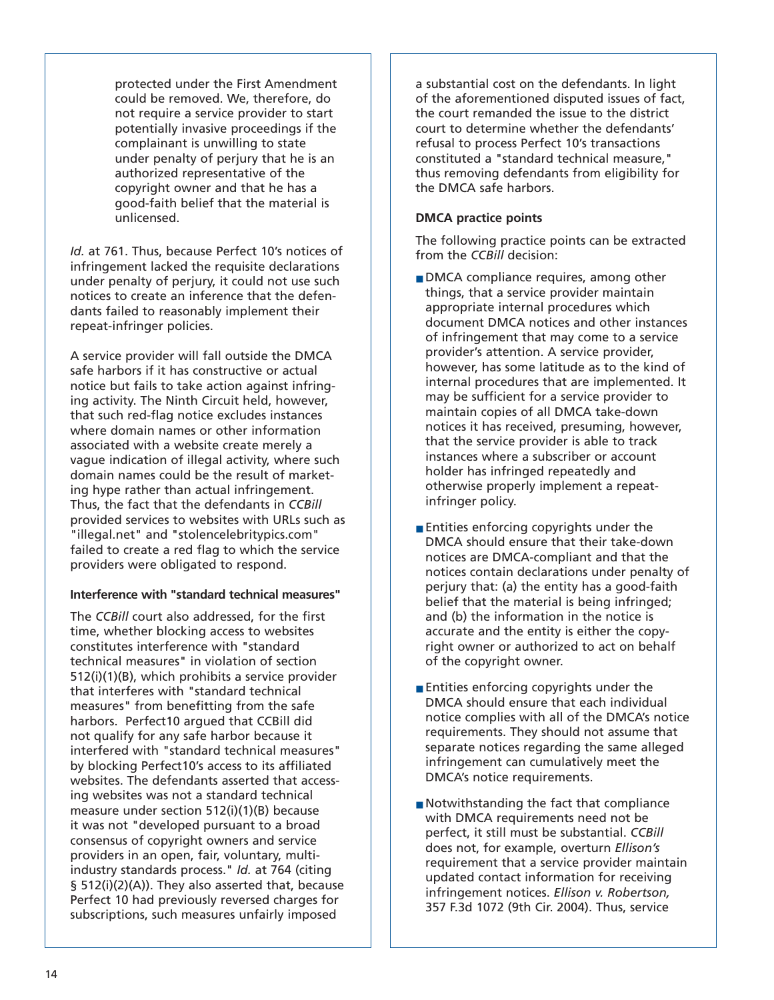protected under the First Amendment could be removed. We, therefore, do not require a service provider to start potentially invasive proceedings if the complainant is unwilling to state under penalty of perjury that he is an authorized representative of the copyright owner and that he has a good-faith belief that the material is unlicensed.

*Id.* at 761. Thus, because Perfect 10's notices of infringement lacked the requisite declarations under penalty of perjury, it could not use such notices to create an inference that the defendants failed to reasonably implement their repeat-infringer policies.

A service provider will fall outside the DMCA safe harbors if it has constructive or actual notice but fails to take action against infringing activity. The Ninth Circuit held, however, that such red-flag notice excludes instances where domain names or other information associated with a website create merely a vague indication of illegal activity, where such domain names could be the result of marketing hype rather than actual infringement. Thus, the fact that the defendants in *CCBill* provided services to websites with URLs such as "illegal.net" and "stolencelebritypics.com" failed to create a red flag to which the service providers were obligated to respond.

## **Interference with "standard technical measures"**

The *CCBill* court also addressed, for the first time, whether blocking access to websites constitutes interference with "standard technical measures" in violation of section 512(i)(1)(B), which prohibits a service provider that interferes with "standard technical measures" from benefitting from the safe harbors. Perfect10 argued that CCBill did not qualify for any safe harbor because it interfered with "standard technical measures" by blocking Perfect10's access to its affiliated websites. The defendants asserted that accessing websites was not a standard technical measure under section 512(i)(1)(B) because it was not "developed pursuant to a broad consensus of copyright owners and service providers in an open, fair, voluntary, multiindustry standards process." *Id.* at 764 (citing § 512(i)(2)(A)). They also asserted that, because Perfect 10 had previously reversed charges for subscriptions, such measures unfairly imposed

a substantial cost on the defendants. In light of the aforementioned disputed issues of fact, the court remanded the issue to the district court to determine whether the defendants' refusal to process Perfect 10's transactions constituted a "standard technical measure," thus removing defendants from eligibility for the DMCA safe harbors.

## **DMCA practice points**

The following practice points can be extracted from the *CCBill* decision:

- DMCA compliance requires, among other things, that a service provider maintain appropriate internal procedures which document DMCA notices and other instances of infringement that may come to a service provider's attention. A service provider, however, has some latitude as to the kind of internal procedures that are implemented. It may be sufficient for a service provider to maintain copies of all DMCA take-down notices it has received, presuming, however, that the service provider is able to track instances where a subscriber or account holder has infringed repeatedly and otherwise properly implement a repeatinfringer policy.
- Entities enforcing copyrights under the DMCA should ensure that their take-down notices are DMCA-compliant and that the notices contain declarations under penalty of perjury that: (a) the entity has a good-faith belief that the material is being infringed; and (b) the information in the notice is accurate and the entity is either the copyright owner or authorized to act on behalf of the copyright owner.
- Entities enforcing copyrights under the DMCA should ensure that each individual notice complies with all of the DMCA's notice requirements. They should not assume that separate notices regarding the same alleged infringement can cumulatively meet the DMCA's notice requirements.
- Notwithstanding the fact that compliance with DMCA requirements need not be perfect, it still must be substantial. *CCBill* does not, for example, overturn *Ellison's* requirement that a service provider maintain updated contact information for receiving infringement notices. *Ellison v. Robertson,* 357 F.3d 1072 (9th Cir. 2004). Thus, service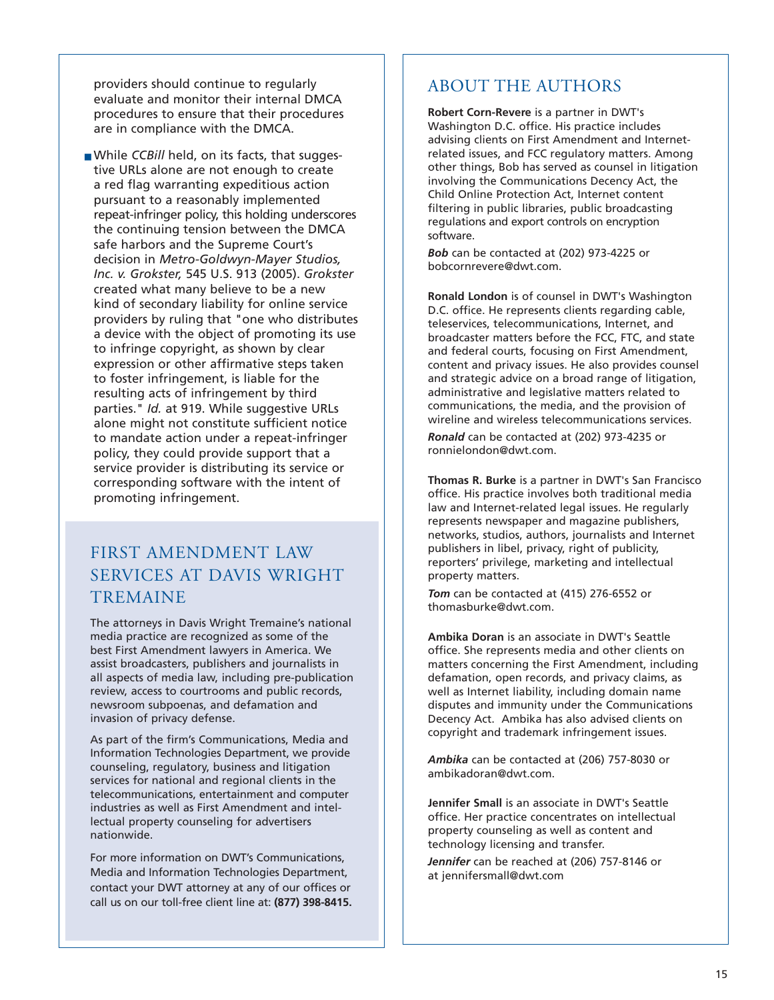providers should continue to regularly evaluate and monitor their internal DMCA procedures to ensure that their procedures are in compliance with the DMCA.

■ While *CCBill* held, on its facts, that suggestive URLs alone are not enough to create a red flag warranting expeditious action pursuant to a reasonably implemented repeat-infringer policy, this holding underscores the continuing tension between the DMCA safe harbors and the Supreme Court's decision in *Metro-Goldwyn-Mayer Studios, Inc. v. Grokster,* 545 U.S. 913 (2005). *Grokster* created what many believe to be a new kind of secondary liability for online service providers by ruling that "one who distributes a device with the object of promoting its use to infringe copyright, as shown by clear expression or other affirmative steps taken to foster infringement, is liable for the resulting acts of infringement by third parties." *Id.* at 919. While suggestive URLs alone might not constitute sufficient notice to mandate action under a repeat-infringer policy, they could provide support that a service provider is distributing its service or corresponding software with the intent of promoting infringement.

# FIRST AMENDMENT LAW SERVICES AT DAVIS WRIGHT TREMAINE

The attorneys in Davis Wright Tremaine's national media practice are recognized as some of the best First Amendment lawyers in America. We assist broadcasters, publishers and journalists in all aspects of media law, including pre-publication review, access to courtrooms and public records, newsroom subpoenas, and defamation and invasion of privacy defense.

As part of the firm's Communications, Media and Information Technologies Department, we provide counseling, regulatory, business and litigation services for national and regional clients in the telecommunications, entertainment and computer industries as well as First Amendment and intellectual property counseling for advertisers nationwide.

For more information on DWT's Communications, Media and Information Technologies Department, contact your DWT attorney at any of our offices or call us on our toll-free client line at: **(877) 398-8415.**

## ABOUT THE AUTHORS

**Robert Corn-Revere** is a partner in DWT's Washington D.C. office. His practice includes advising clients on First Amendment and Internetrelated issues, and FCC regulatory matters. Among other things, Bob has served as counsel in litigation involving the Communications Decency Act, the Child Online Protection Act, Internet content filtering in public libraries, public broadcasting regulations and export controls on encryption software.

*Bob* can be contacted at (202) 973-4225 or bobcornrevere@dwt.com.

**Ronald London** is of counsel in DWT's Washington D.C. office. He represents clients regarding cable, teleservices, telecommunications, Internet, and broadcaster matters before the FCC, FTC, and state and federal courts, focusing on First Amendment, content and privacy issues. He also provides counsel and strategic advice on a broad range of litigation, administrative and legislative matters related to communications, the media, and the provision of wireline and wireless telecommunications services.

*Ronald* can be contacted at (202) 973-4235 or ronnielondon@dwt.com.

**Thomas R. Burke** is a partner in DWT's San Francisco office. His practice involves both traditional media law and Internet-related legal issues. He regularly represents newspaper and magazine publishers, networks, studios, authors, journalists and Internet publishers in libel, privacy, right of publicity, reporters' privilege, marketing and intellectual property matters.

*Tom* can be contacted at (415) 276-6552 or thomasburke@dwt.com.

**Ambika Doran** is an associate in DWT's Seattle office. She represents media and other clients on matters concerning the First Amendment, including defamation, open records, and privacy claims, as well as Internet liability, including domain name disputes and immunity under the Communications Decency Act. Ambika has also advised clients on copyright and trademark infringement issues.

*Ambika* can be contacted at (206) 757-8030 or ambikadoran@dwt.com.

**Jennifer Small** is an associate in DWT's Seattle office. Her practice concentrates on intellectual property counseling as well as content and technology licensing and transfer.

*Jennifer* can be reached at (206) 757-8146 or at jennifersmall@dwt.com